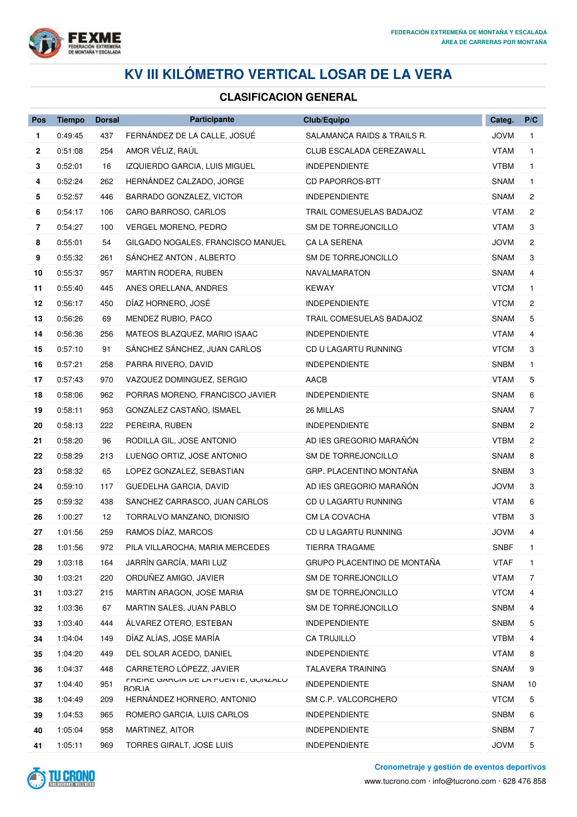

## **KV III KILÓMETRO VERTICAL LOSAR DE LA VERA**

## **CLASIFICACION GENERAL**

| Pos | <b>Tiempo</b> | <b>Dorsal</b> | Participante                                   | Club/Equipo                 | Categ.      | P/C            |
|-----|---------------|---------------|------------------------------------------------|-----------------------------|-------------|----------------|
| 1   | 0:49:45       | 437           | FERNÁNDEZ DE LA CALLE, JOSUÉ                   | SALAMANCA RAIDS & TRAILS R. | JOVM        | $\mathbf{1}$   |
| 2   | 0:51:08       | 254           | AMOR VÉLIZ, RAÚL                               | CLUB ESCALADA CEREZAWALL    | VTAM        | 1.             |
| 3   | 0:52:01       | 16            | IZQUIERDO GARCIA, LUIS MIGUEL                  | <b>INDEPENDIENTE</b>        | <b>VTBM</b> | $\mathbf{1}$   |
| 4   | 0:52:24       | 262           | HERNÁNDEZ CALZADO, JORGE                       | <b>CD PAPORROS-BTT</b>      | <b>SNAM</b> | 1              |
| 5   | 0:52:57       | 446           | BARRADO GONZALEZ, VICTOR                       | <b>INDEPENDIENTE</b>        | SNAM        | 2              |
| 6   | 0:54:17       | 106           | CARO BARROSO, CARLOS                           | TRAIL COMESUELAS BADAJOZ    | <b>VTAM</b> | $\overline{c}$ |
| 7   | 0:54:27       | 100           | VERGEL MORENO, PEDRO                           | SM DE TORREJONCILLO         | VTAM        | 3              |
| 8   | 0:55:01       | 54            | GILGADO NOGALES, FRANCISCO MANUEL              | CA LA SERENA                | <b>JOVM</b> | 2              |
| 9   | 0:55:32       | 261           | SANCHEZ ANTON, ALBERTO                         | SM DE TORREJONCILLO         | <b>SNAM</b> | 3              |
| 10  | 0:55:37       | 957           | MARTIN RODERA, RUBEN                           | <b>NAVALMARATON</b>         | <b>SNAM</b> | 4              |
| 11  | 0:55:40       | 445           | ANES ORELLANA, ANDRES                          | <b>KEWAY</b>                | <b>VTCM</b> | 1              |
| 12  | 0:56:17       | 450           | DÍAZ HORNERO, JOSÉ                             | <b>INDEPENDIENTE</b>        | <b>VTCM</b> | 2              |
| 13  | 0:56:26       | 69            | MENDEZ RUBIO, PACO                             | TRAIL COMESUELAS BADAJOZ    | <b>SNAM</b> | 5              |
| 14  | 0:56:36       | 256           | MATEOS BLAZQUEZ, MARIO ISAAC                   | <b>INDEPENDIENTE</b>        | VTAM        | 4              |
| 15  | 0:57:10       | 91            | SÁNCHEZ SÁNCHEZ, JUAN CARLOS                   | CD U LAGARTU RUNNING        | <b>VTCM</b> | 3              |
| 16  | 0:57:21       | 258           | PARRA RIVERO, DAVID                            | <b>INDEPENDIENTE</b>        | SNBM        | $\mathbf{1}$   |
| 17  | 0:57:43       | 970           | VAZQUEZ DOMINGUEZ, SERGIO                      | AACB                        | <b>VTAM</b> | 5              |
| 18  | 0:58:06       | 962           | PORRAS MORENO, FRANCISCO JAVIER                | <b>INDEPENDIENTE</b>        | SNAM        | 6              |
| 19  | 0:58:11       | 953           | GONZALEZ CASTAÑO, ISMAEL                       | 26 MILLAS                   | SNAM        | 7              |
| 20  | 0:58:13       | 222           | PEREIRA, RUBEN                                 | <b>INDEPENDIENTE</b>        | <b>SNBM</b> | 2              |
| 21  | 0:58:20       | 96            | RODILLA GIL, JOSE ANTONIO                      | AD IES GREGORIO MARAÑÓN     | <b>VTBM</b> | $\overline{c}$ |
| 22  | 0:58:29       | 213           | LUENGO ORTIZ, JOSE ANTONIO                     | SM DE TORREJONCILLO         | <b>SNAM</b> | 8              |
| 23  | 0:58:32       | 65            | LOPEZ GONZALEZ, SEBASTIAN                      | GRP. PLACENTINO MONTAÑA     | <b>SNBM</b> | 3              |
| 24  | 0:59:10       | 117           | GUEDELHA GARCIA, DAVID                         | AD IES GREGORIO MARAÑÓN     | <b>JOVM</b> | 3              |
| 25  | 0:59:32       | 438           | SANCHEZ CARRASCO, JUAN CARLOS                  | CD U LAGARTU RUNNING        | <b>VTAM</b> | 6              |
| 26  | 1:00:27       | 12            | TORRALVO MANZANO, DIONISIO                     | CM LA COVACHA               | <b>VTBM</b> | 3              |
| 27  | 1:01:56       | 259           | RAMOS DÍAZ, MARCOS                             | CD U LAGARTU RUNNING        | <b>JOVM</b> | 4              |
| 28  | 1:01:56       | 972           | PILA VILLAROCHA, MARIA MERCEDES                | TIERRA TRAGAME              | <b>SNBF</b> | 1              |
| 29  | 1:03:18       | 164           | JARRÍN GARCÍA, MARI LUZ                        | GRUPO PLACENTINO DE MONTAÑA | <b>VTAF</b> | 1              |
| 30  | 1:03:21       | 220           | ORDUÑEZ AMIGO, JAVIER                          | SM DE TORREJONCILLO         | <b>VTAM</b> | 7              |
| 31  | 1:03:27       | 215           | MARTIN ARAGON, JOSE MARIA                      | SM DE TORREJONCILLO         | <b>VTCM</b> | 4              |
| 32  | 1:03:36       | 67            | MARTIN SALES, JUAN PABLO                       | SM DE TORREJONCILLO         | <b>SNBM</b> | 4              |
| 33  | 1:03:40       | 444           | ÁLVAREZ OTERO, ESTEBAN                         | <b>INDEPENDIENTE</b>        | <b>SNBM</b> | 5              |
| 34  | 1:04:04       | 149           | DÍAZ ALÍAS, JOSE MARÍA                         | CA TRUJILLO                 | <b>VTBM</b> | 4              |
| 35  | 1:04:20       | 449           | DEL SOLAR ACEDO, DANIEL                        | <b>INDEPENDIENTE</b>        | <b>VTAM</b> | 8              |
| 36  | 1:04:37       | 448           | CARRETERO LÓPEZZ, JAVIER                       | <b>TALAVERA TRAINING</b>    | <b>SNAM</b> | 9              |
| 37  | 1:04:40       | 951           | FREIRE GARGIA DE LA MUEINTE, GUIVZALU<br>BORJA | <b>INDEPENDIENTE</b>        | SNAM        | 10             |
| 38  | 1:04:49       | 209           | HERNÁNDEZ HORNERO, ANTONIO                     | SM C.P. VALCORCHERO         | <b>VTCM</b> | 5              |
| 39  | 1:04:53       | 965           | ROMERO GARCIA, LUIS CARLOS                     | <b>INDEPENDIENTE</b>        | <b>SNBM</b> | 6              |
| 40  | 1:05:04       | 958           | MARTINEZ, AITOR                                | <b>INDEPENDIENTE</b>        | <b>SNBM</b> | 7              |
| 41  | 1:05:11       | 969           | TORRES GIRALT, JOSE LUIS                       | <b>INDEPENDIENTE</b>        | <b>JOVM</b> | 5              |



**Cronometraje y gestión de eventos deportivos**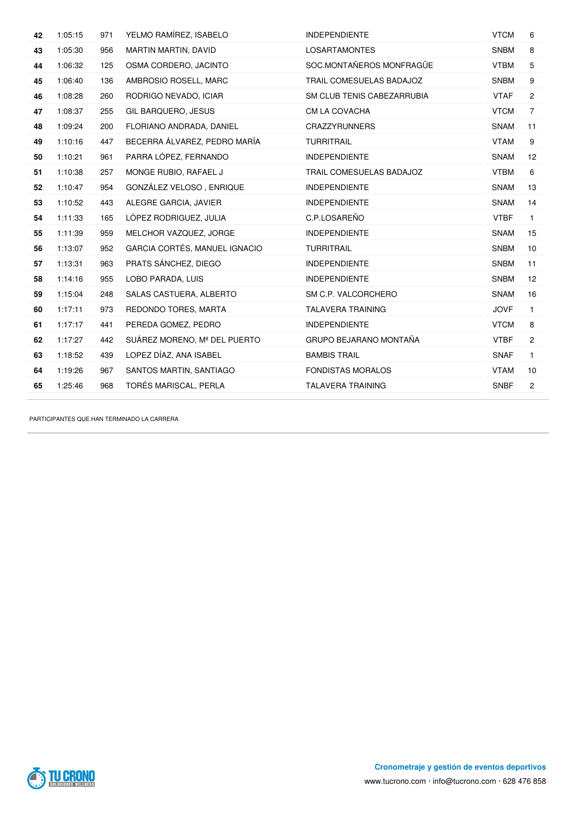| 42 | 1:05:15 | 971 | YELMO RAMÍREZ, ISABELO        | <b>INDEPENDIENTE</b>          | <b>VTCM</b> | 6                 |
|----|---------|-----|-------------------------------|-------------------------------|-------------|-------------------|
| 43 | 1:05:30 | 956 | MARTIN MARTIN, DAVID          | <b>LOSARTAMONTES</b>          | <b>SNBM</b> | 8                 |
| 44 | 1:06:32 | 125 | OSMA CORDERO, JACINTO         | SOC.MONTAÑEROS MONFRAGÜE      | <b>VTBM</b> | 5                 |
| 45 | 1:06:40 | 136 | AMBROSIO ROSELL, MARC         | TRAIL COMESUELAS BADAJOZ      | <b>SNBM</b> | 9                 |
| 46 | 1:08:28 | 260 | RODRIGO NEVADO, ICIAR         | SM CLUB TENIS CABEZARRUBIA    | <b>VTAF</b> | $\overline{2}$    |
| 47 | 1:08:37 | 255 | GIL BARQUERO, JESUS           | CM LA COVACHA                 | <b>VTCM</b> | $\overline{7}$    |
| 48 | 1:09:24 | 200 | FLORIANO ANDRADA, DANIEL      | <b>CRAZZYRUNNERS</b>          | SNAM        | 11                |
| 49 | 1:10:16 | 447 | BECERRA ÁLVAREZ, PEDRO MARÍA  | <b>TURRITRAIL</b>             | <b>VTAM</b> | 9                 |
| 50 | 1:10:21 | 961 | PARRA LÓPEZ, FERNANDO         | <b>INDEPENDIENTE</b>          | <b>SNAM</b> | $12 \overline{ }$ |
| 51 | 1:10:38 | 257 | MONGE RUBIO, RAFAEL J         | TRAIL COMESUELAS BADAJOZ      | <b>VTBM</b> | 6                 |
| 52 | 1:10:47 | 954 | GONZÁLEZ VELOSO, ENRIQUE      | <b>INDEPENDIENTE</b>          | <b>SNAM</b> | 13                |
| 53 | 1:10:52 | 443 | ALEGRE GARCIA, JAVIER         | <b>INDEPENDIENTE</b>          | <b>SNAM</b> | 14                |
| 54 | 1:11:33 | 165 | LÓPEZ RODRIGUEZ, JULIA        | C.P.LOSAREÑO                  | <b>VTBF</b> | $\mathbf{1}$      |
| 55 | 1:11:39 | 959 | MELCHOR VAZQUEZ, JORGE        | <b>INDEPENDIENTE</b>          | <b>SNAM</b> | 15                |
| 56 | 1:13:07 | 952 | GARCIA CORTÉS, MANUEL IGNACIO | <b>TURRITRAIL</b>             | <b>SNBM</b> | 10                |
| 57 | 1:13:31 | 963 | PRATS SÁNCHEZ, DIEGO          | <b>INDEPENDIENTE</b>          | <b>SNBM</b> | 11                |
| 58 | 1:14:16 | 955 | LOBO PARADA, LUIS             | <b>INDEPENDIENTE</b>          | <b>SNBM</b> | $12 \overline{ }$ |
| 59 | 1:15:04 | 248 | SALAS CASTUERA, ALBERTO       | SM C.P. VALCORCHERO           | <b>SNAM</b> | 16                |
| 60 | 1:17:11 | 973 | REDONDO TORES, MARTA          | <b>TALAVERA TRAINING</b>      | <b>JOVF</b> | $\mathbf{1}$      |
| 61 | 1:17:17 | 441 | PEREDA GOMEZ, PEDRO           | <b>INDEPENDIENTE</b>          | <b>VTCM</b> | 8                 |
| 62 | 1:17:27 | 442 | SUÁREZ MORENO, Mª DEL PUERTO  | <b>GRUPO BEJARANO MONTAÑA</b> | <b>VTBF</b> | $\overline{2}$    |
| 63 | 1:18:52 | 439 | LOPEZ DÍAZ, ANA ISABEL        | <b>BAMBIS TRAIL</b>           | <b>SNAF</b> | $\mathbf{1}$      |
| 64 | 1:19:26 | 967 | SANTOS MARTIN, SANTIAGO       | <b>FONDISTAS MORALOS</b>      | <b>VTAM</b> | 10                |
| 65 | 1:25:46 | 968 | TORÉS MARISCAL, PERLA         | <b>TALAVERA TRAINING</b>      | <b>SNBF</b> | $\overline{2}$    |
|    |         |     |                               |                               |             |                   |

PARTICIPANTES QUE HAN TERMINADO LA CARRERA

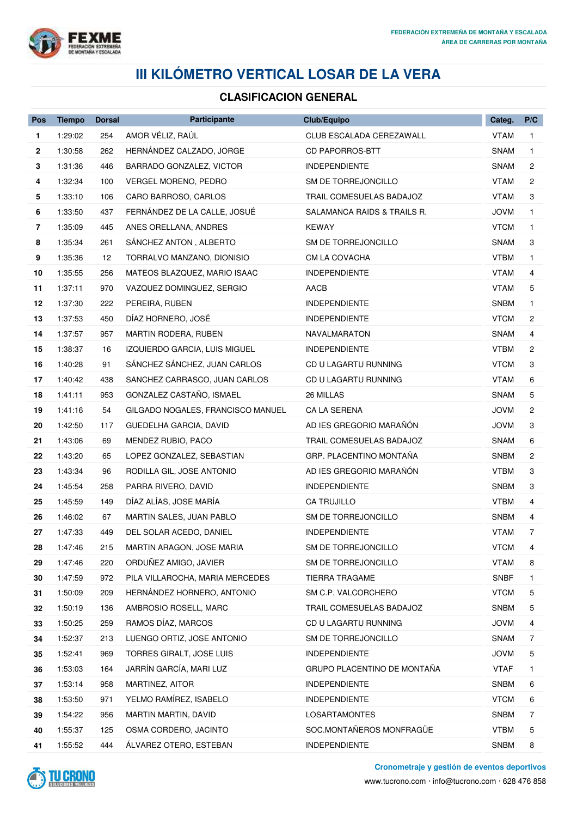

## **III KILÓMETRO VERTICAL LOSAR DE LA VERA**

## **CLASIFICACION GENERAL**

| Pos            | <b>Tiempo</b> | <b>Dorsal</b> | Participante                      | Club/Equipo                 | Categ.      | P/C            |
|----------------|---------------|---------------|-----------------------------------|-----------------------------|-------------|----------------|
| 1              | 1:29:02       | 254           | AMOR VÉLIZ, RAÚL                  | CLUB ESCALADA CEREZAWALL    | <b>VTAM</b> | 1.             |
| 2              | 1:30:58       | 262           | HERNÁNDEZ CALZADO, JORGE          | <b>CD PAPORROS-BTT</b>      | SNAM        | 1              |
| 3              | 1:31:36       | 446           | BARRADO GONZALEZ, VICTOR          | <b>INDEPENDIENTE</b>        | <b>SNAM</b> | 2              |
| 4              | 1:32:34       | 100           | VERGEL MORENO, PEDRO              | SM DE TORREJONCILLO         | <b>VTAM</b> | $\overline{c}$ |
| 5              | 1:33:10       | 106           | CARO BARROSO, CARLOS              | TRAIL COMESUELAS BADAJOZ    | VTAM        | 3              |
| 6              | 1:33:50       | 437           | FERNÁNDEZ DE LA CALLE, JOSUÉ      | SALAMANCA RAIDS & TRAILS R. | <b>JOVM</b> | 1              |
| $\overline{7}$ | 1:35:09       | 445           | ANES ORELLANA, ANDRES             | <b>KEWAY</b>                | <b>VTCM</b> | $\mathbf{1}$   |
| 8              | 1:35:34       | 261           | SANCHEZ ANTON, ALBERTO            | SM DE TORREJONCILLO         | <b>SNAM</b> | 3              |
| 9              | 1:35:36       | 12            | TORRALVO MANZANO, DIONISIO        | CM LA COVACHA               | <b>VTBM</b> | 1              |
| 10             | 1:35:55       | 256           | MATEOS BLAZQUEZ, MARIO ISAAC      | <b>INDEPENDIENTE</b>        | <b>VTAM</b> | 4              |
| 11             | 1:37:11       | 970           | VAZQUEZ DOMINGUEZ, SERGIO         | AACB                        | <b>VTAM</b> | 5              |
| 12             | 1:37:30       | 222           | PEREIRA, RUBEN                    | <b>INDEPENDIENTE</b>        | SNBM        | 1.             |
| 13             | 1:37:53       | 450           | DÍAZ HORNERO, JOSÉ                | <b>INDEPENDIENTE</b>        | <b>VTCM</b> | 2              |
| 14             | 1:37:57       | 957           | MARTIN RODERA, RUBEN              | <b>NAVALMARATON</b>         | <b>SNAM</b> | 4              |
| 15             | 1:38:37       | 16            | IZQUIERDO GARCIA, LUIS MIGUEL     | <b>INDEPENDIENTE</b>        | <b>VTBM</b> | 2              |
| 16             | 1:40:28       | 91            | SÁNCHEZ SÁNCHEZ, JUAN CARLOS      | CD U LAGARTU RUNNING        | <b>VTCM</b> | 3              |
| 17             | 1:40:42       | 438           | SANCHEZ CARRASCO, JUAN CARLOS     | CD U LAGARTU RUNNING        | <b>VTAM</b> | 6              |
| 18             | 1:41:11       | 953           | GONZALEZ CASTAÑO, ISMAEL          | 26 MILLAS                   | SNAM        | 5              |
| 19             | 1:41:16       | 54            | GILGADO NOGALES, FRANCISCO MANUEL | CA LA SERENA                | <b>JOVM</b> | 2              |
| 20             | 1:42:50       | 117           | GUEDELHA GARCIA, DAVID            | AD IES GREGORIO MARAÑÓN     | <b>JOVM</b> | 3              |
| 21             | 1:43:06       | 69            | MENDEZ RUBIO, PACO                | TRAIL COMESUELAS BADAJOZ    | <b>SNAM</b> | 6              |
| 22             | 1:43:20       | 65            | LOPEZ GONZALEZ, SEBASTIAN         | GRP. PLACENTINO MONTAÑA     | <b>SNBM</b> | 2              |
| 23             | 1:43:34       | 96            | RODILLA GIL, JOSE ANTONIO         | AD IES GREGORIO MARAÑÓN     | <b>VTBM</b> | 3              |
| 24             | 1:45:54       | 258           | PARRA RIVERO, DAVID               | <b>INDEPENDIENTE</b>        | <b>SNBM</b> | 3              |
| 25             | 1:45:59       | 149           | DÍAZ ALÍAS, JOSE MARÍA            | CA TRUJILLO                 | <b>VTBM</b> | 4              |
| 26             | 1:46:02       | 67            | MARTIN SALES, JUAN PABLO          | SM DE TORREJONCILLO         | SNBM        | 4              |
| 27             | 1:47:33       | 449           | DEL SOLAR ACEDO, DANIEL           | <b>INDEPENDIENTE</b>        | <b>VTAM</b> | 7              |
| 28             | 1:47:46       | 215           | MARTIN ARAGON, JOSE MARIA         | SM DE TORREJONCILLO         | <b>VTCM</b> |                |
| 29             | 1:47:46       | 220           | ORDUÑEZ AMIGO, JAVIER             | SM DE TORREJONCILLO         | <b>VTAM</b> | 8              |
| 30             | 1:47:59       | 972           | PILA VILLAROCHA, MARIA MERCEDES   | <b>TIERRA TRAGAME</b>       | <b>SNBF</b> | 1.             |
| 31             | 1:50:09       | 209           | HERNÁNDEZ HORNERO, ANTONIO        | SM C.P. VALCORCHERO         | <b>VTCM</b> | 5              |
| 32             | 1:50:19       | 136           | AMBROSIO ROSELL, MARC             | TRAIL COMESUELAS BADAJOZ    | <b>SNBM</b> | 5              |
| 33             | 1:50:25       | 259           | RAMOS DÍAZ, MARCOS                | CD U LAGARTU RUNNING        | <b>JOVM</b> | 4              |
| 34             | 1:52:37       | 213           | LUENGO ORTIZ, JOSE ANTONIO        | SM DE TORREJONCILLO         | SNAM        | 7              |
| 35             | 1:52:41       | 969           | TORRES GIRALT, JOSE LUIS          | <b>INDEPENDIENTE</b>        | <b>JOVM</b> | 5              |
| 36             | 1:53:03       | 164           | JARRÍN GARCÍA, MARI LUZ           | GRUPO PLACENTINO DE MONTAÑA | <b>VTAF</b> | 1.             |
| 37             | 1:53:14       | 958           | MARTINEZ, AITOR                   | <b>INDEPENDIENTE</b>        | <b>SNBM</b> | 6              |
| 38             | 1:53:50       | 971           | YELMO RAMÍREZ, ISABELO            | <b>INDEPENDIENTE</b>        | <b>VTCM</b> | 6              |
| 39             | 1:54:22       | 956           | MARTIN MARTIN, DAVID              | <b>LOSARTAMONTES</b>        | <b>SNBM</b> | 7              |
| 40             | 1:55:37       | 125           | OSMA CORDERO, JACINTO             | SOC.MONTAÑEROS MONFRAGÜE    | <b>VTBM</b> | 5              |
| 41             | 1:55:52       | 444           | ALVAREZ OTERO, ESTEBAN            | INDEPENDIENTE               | <b>SNBM</b> | 8              |



**Cronometraje y gestión de eventos deportivos**